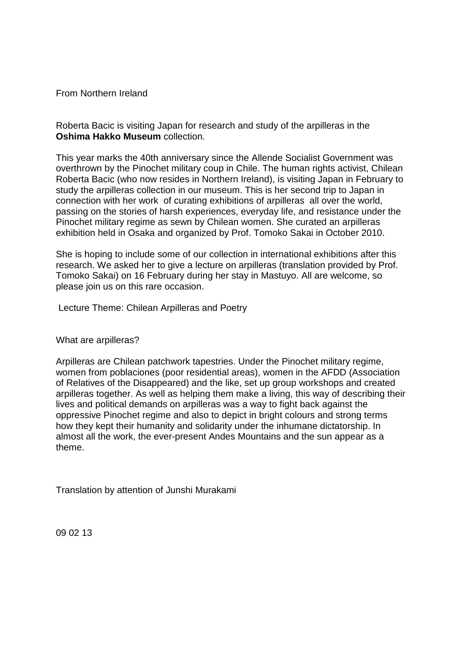From Northern Ireland

Roberta Bacic is visiting Japan for research and study of the arpilleras in the **Oshima Hakko Museum** collection.

This year marks the 40th anniversary since the Allende Socialist Government was overthrown by the Pinochet military coup in Chile. The human rights activist, Chilean Roberta Bacic (who now resides in Northern Ireland), is visiting Japan in February to study the arpilleras collection in our museum. This is her second trip to Japan in connection with her work of curating exhibitions of arpilleras all over the world, passing on the stories of harsh experiences, everyday life, and resistance under the Pinochet military regime as sewn by Chilean women. She curated an arpilleras exhibition held in Osaka and organized by Prof. Tomoko Sakai in October 2010.

She is hoping to include some of our collection in international exhibitions after this research. We asked her to give a lecture on arpilleras (translation provided by Prof. Tomoko Sakai) on 16 February during her stay in Mastuyo. All are welcome, so please join us on this rare occasion.

Lecture Theme: Chilean Arpilleras and Poetry

What are arpilleras?

Arpilleras are Chilean patchwork tapestries. Under the Pinochet military regime, women from poblaciones (poor residential areas), women in the AFDD (Association of Relatives of the Disappeared) and the like, set up group workshops and created arpilleras together. As well as helping them make a living, this way of describing their lives and political demands on arpilleras was a way to fight back against the oppressive Pinochet regime and also to depict in bright colours and strong terms how they kept their humanity and solidarity under the inhumane dictatorship. In almost all the work, the ever-present Andes Mountains and the sun appear as a theme.

Translation by attention of Junshi Murakami

09 02 13